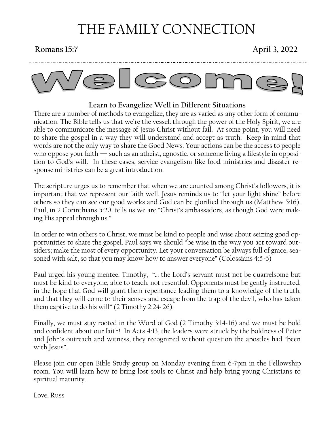# THE FAMILY CONNECTION

**Romans 15:7 April 3, 2022**



### **Learn to Evangelize Well in Different Situations**

There are a number of methods to evangelize, they are as varied as any other form of communication. The Bible tells us that we're the vessel: through the power of the Holy Spirit, we are able to communicate the message of Jesus Christ without fail. At some point, you will need to share the gospel in a way they will understand and accept as truth. Keep in mind that words are not the only way to share the Good News. Your actions can be the access to people who oppose your faith — such as an atheist, agnostic, or someone living a lifestyle in opposition to God's will. In these cases, service evangelism like food ministries and disaster response ministries can be a great introduction.

The scripture urges us to remember that when we are counted among Christ's followers, it is important that we represent our faith well. Jesus reminds us to "let your light shine" before others so they can see our good works and God can be glorified through us (Matthew 5:16). Paul, in 2 Corinthians 5:20, tells us we are "Christ's ambassadors, as though God were making His appeal through us."

In order to win others to Christ, we must be kind to people and wise about seizing good opportunities to share the gospel. Paul says we should "be wise in the way you act toward outsiders; make the most of every opportunity. Let your conversation be always full of grace, seasoned with salt, so that you may know how to answer everyone" (Colossians 4:5-6)

Paul urged his young mentee, Timothy, "… the Lord's servant must not be quarrelsome but must be kind to everyone, able to teach, not resentful. Opponents must be gently instructed, in the hope that God will grant them repentance leading them to a knowledge of the truth, and that they will come to their senses and escape from the trap of the devil, who has taken them captive to do his will" (2 Timothy 2:24-26).

Finally, we must stay rooted in the Word of God (2 Timothy 3:14-16) and we must be bold and confident about our faith! In Acts 4:13, the leaders were struck by the boldness of Peter and John's outreach and witness, they recognized without question the apostles had "been with Jesus".

Please join our open Bible Study group on Monday evening from 6-7pm in the Fellowship room. You will learn how to bring lost souls to Christ and help bring young Christians to spiritual maturity.

Love, Russ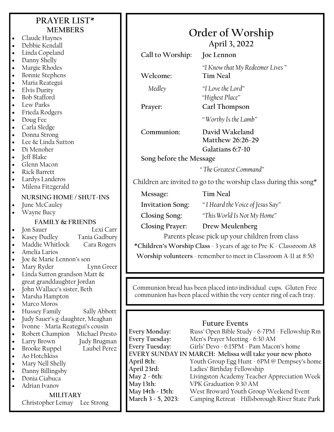## **PRAYER LIST\* MEMBERS**

- Claude Haynes • Debbie Kendall
- Linda Copeland
- Danny Shelly
- Margie Rhodes
- Bonnie Stephens
- Maria Reategui
- Elvis Durity
- Bob Stafford
- Lew Parks
- Frieda Rodgers
- Doug Fee
- Carla Sledge
- Donna Strong
- Lee & Linda Sutton
- Di Menoher
- Jeff Blake
- Glenn Macon
- Rick Barrett
- Lardys Landeros
- Milena Fitzgerald

### **NURSING HOME / SHUT-INS**

June McCauley

• Wayne Bucy

- **FAMILY & FRIENDS Jon Sauer** • Kasey Dudley Tania Gadbury • Maddie Whitlock Cara Rogers
- Amelia Larios
- Joe & Marie Lennon's son
- Mary Ryder Lynn Greer
- Linda Sutton grandson Matt  $\&$ great granddaughter Jordan
- John Wallace's sister, Beth
- Marsha Hampton
- Marco Moros
- Hussey Family Sally Abbott
- Judy Sauer's g-daughter, Meaghan
- Ivonne Maria Reategui's cousin
- Robert Champion Michael Presto
- Larry Brown Judy Brugman
- **Brooke Ruppel** • Ao Hotchkiss
- 
- Mary Nell Shelly
- Danny Billingsby • Donia Ciabuca
- Adrian Ivanov

### **MILITARY** Christopher Lemay Lee Strong

| Order of Worship<br>April 3, 2022 |                                                                   |  |
|-----------------------------------|-------------------------------------------------------------------|--|
| Call to Worship:                  | Joe Lennon                                                        |  |
| Welcome:                          | "I Know that My Redeemer Lives"<br><b>Tim Neal</b>                |  |
| Medley                            | "I Love the Lord"<br>"Highest Place"                              |  |
| Prayer:                           | Carl Thompson                                                     |  |
|                                   | "Worthy Is the Lamb"                                              |  |
| Communion:                        | David Wakeland<br>Matthew 26:26-29<br>Galatians 6:7-10            |  |
| Song before the Message           |                                                                   |  |
|                                   | "The Greatest Command"                                            |  |
|                                   | Children are invited to go to the worship class during this song* |  |
| Message:                          | <b>Tim Neal</b>                                                   |  |
| <b>Invitation Song:</b>           | "I Heard the Voice of Jesus Say"                                  |  |

**Closing Song:** *"This World Is Not My Home"*

### **Closing Prayer: Drew Meulenberg**

Parents please pick up your children from class

**\*Children's Worship Class** - 3 years of age to Pre-K - Classroom A8

**Worship volunteers** - remember to meet in Classroom A-11 at 8:50

Communion bread has been placed into individual cups. Gluten Free communion has been placed within the very center ring of each tray.

### **Future Events**

| <b>Every Monday:</b>                                    | Russ' Open Bible Study - 6-7PM - Fellowship Rm  |  |
|---------------------------------------------------------|-------------------------------------------------|--|
| <b>Every Tuesday:</b>                                   | Men's Prayer Meeting - 6:30 AM                  |  |
| <b>Every Tuesday:</b>                                   | Girls' Devo - 6:15PM - Pam Macon's home         |  |
| EVERY SUNDAY IN MARCH: Melissa will take your new photo |                                                 |  |
| April 8th:                                              | Youth Group Egg Hunt - 6PM @ Dempsey's home     |  |
| April 23rd:                                             | Ladies' Birthday Fellowship                     |  |
| May 2 - 6th:                                            | Livingston Academy Teacher Appreciation Week    |  |
| May 13th:                                               | VPK Graduation 9:30 AM                          |  |
| May 14th - 15th:                                        | West Broward Youth Group Weekend Event          |  |
| March 3 - 5, 2023:                                      | Camping Retreat - Hillsborough River State Park |  |
|                                                         |                                                 |  |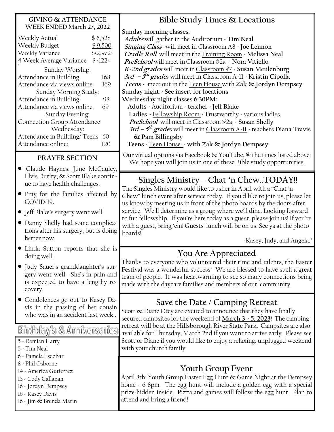| <b>GIVING &amp; ATTENDANCE</b>                               | Bible Study Times & Locations                                                                                                                          |
|--------------------------------------------------------------|--------------------------------------------------------------------------------------------------------------------------------------------------------|
| WEEK ENDED March 27, 2022                                    | Sunday morning classes:                                                                                                                                |
| Weekly Actual<br>\$6,528                                     | Adults will gather in the Auditorium - Tim Neal                                                                                                        |
| Weekly Budget<br>\$9,500                                     | Singing Class -will meet in Classroom A8 - Joe Lennon                                                                                                  |
| Weekly Variance<br>$\sqrt{$2,972}$                           | Cradle Roll will meet in the Training Room - Melissa Neal                                                                                              |
| 4 Week Average Variance \$<122>                              | PreSchool will meet in Classroom #2a > Nora Vitiello                                                                                                   |
| Sunday Worship:                                              | K-2nd grades will meet in Classroom #7 - Susan Meulenburg                                                                                              |
| Attendance in Building<br>168                                | 3rd $-5$ <sup>th</sup> grades will meet in Classroom A-11 - Kristin Cipolla                                                                            |
| Attendance via views online:<br>169                          | Teens - meet out in the Teen House with Zak & Jordyn Dempsey                                                                                           |
| Sunday Morning Study:                                        | Sunday night: - See insert for locations                                                                                                               |
| Attendance in Building<br>98                                 | Wednesday night classes 6:30PM:                                                                                                                        |
| Attendance via views online:<br>69                           | Adults - Auditorium - teacher - Jeff Blake                                                                                                             |
| Sunday Evening:                                              | Ladies - Fellowship Room - Trustworthy - various ladies                                                                                                |
| <b>Connection Group Attendance</b>                           | <i>PreSchool</i> will meet in <i>Classroom</i> #2a > Susan Shelly                                                                                      |
| Wednesday:                                                   | 3rd – $5^{th}$ grades will meet in Classroom A-11 - teachers Diana Travis                                                                              |
| Attendance in Building/Teens 60<br>Attendance online:<br>120 | & Pam Billingsby<br>Teens - Teen House - with Zak & Jordyn Dempsey                                                                                     |
|                                                              |                                                                                                                                                        |
| PRAYER SECTION                                               | Our virtual options via Facebook $\&$ YouTube, $\&$ the times listed above.                                                                            |
| Claude Haynes, June McCauley,                                | We hope you will join us in one of these Bible study opportunities.                                                                                    |
| Elvis Durity, & Scott Blake contin-                          |                                                                                                                                                        |
| ue to have health challenges.                                | "Singles Ministry – Chat 'n ChewTODAY!!                                                                                                                |
|                                                              | The Singles Ministry would like to usher in April with a "Chat 'n                                                                                      |
| • Pray for the families affected by<br>COVID-19.             | Chew" lunch event after service today. If you'd like to join us, please let                                                                            |
|                                                              | us know by meeting us in front of the photo boards by the doors after                                                                                  |
| • Jeff Blake's surgery went well.                            | service. We'll determine as a group where we'll dine. Looking forward<br>to fun fellowship. If you're here today as a guest, please join us! If you're |
| • Danny Shelly had some complica-                            | with a guest, bring 'em! Guests' lunch will be on us. See ya at the photo                                                                              |
| tions after his surgery, but is doing                        | boards!                                                                                                                                                |
| better now.                                                  | -Kasey, Judy, and Angela."                                                                                                                             |
| · Linda Sutton reports that she is                           |                                                                                                                                                        |
| doing well.                                                  | You Are Appreciated                                                                                                                                    |
| Judy Sauer's granddaughter's sur-                            | Thanks to everyone who volunteered their time and talents, the Easter                                                                                  |
| gery went well. She's in pain and                            | Festival was a wonderful success! We are blessed to have such a great                                                                                  |
| is expected to have a lengthy re-                            | team of people. It was heartwarming to see so many connections being                                                                                   |
| covery.                                                      | made with the daycare families and members of our community.                                                                                           |
| • Condolences go out to Kasey Da-                            |                                                                                                                                                        |
| vis in the passing of her cousin                             | Save the Date / Camping Retreat                                                                                                                        |
| who was in an accident last week.                            | Scott & Diane Otey are excited to announce that they have finally                                                                                      |
|                                                              | secured campsites for the weekend of March 3 - 5, 2023! The camping                                                                                    |
| Birthday's & Anniversaries                                   | retreat will be at the Hillsborough River State Park. Campsites are also<br>available for Thursday, March 2nd if you want to arrive early. Please see  |
| 5 - Damian Harty                                             | Scott or Diane if you would like to enjoy a relaxing, unplugged weekend                                                                                |
| 5 - Tim Neal                                                 | with your church family.                                                                                                                               |
| 6 - Pamela Escobar                                           |                                                                                                                                                        |
| 8 - Phil Osborne                                             |                                                                                                                                                        |
| 14 - America Gutierrez                                       | <b>Youth Group Event</b>                                                                                                                               |
| 15 - Cody Callanan                                           | April 8th: Youth Group Easter Egg Hunt & Game Night at the Dempsey                                                                                     |
| 16 - Jordyn Dempsey                                          | home - 6-8pm. The egg hunt will include a golden egg with a special                                                                                    |
| 16 - Kasey Davis                                             | prize hidden inside. Pizza and games will follow the egg hunt. Plan to                                                                                 |
|                                                              | attend and bring a friend!                                                                                                                             |